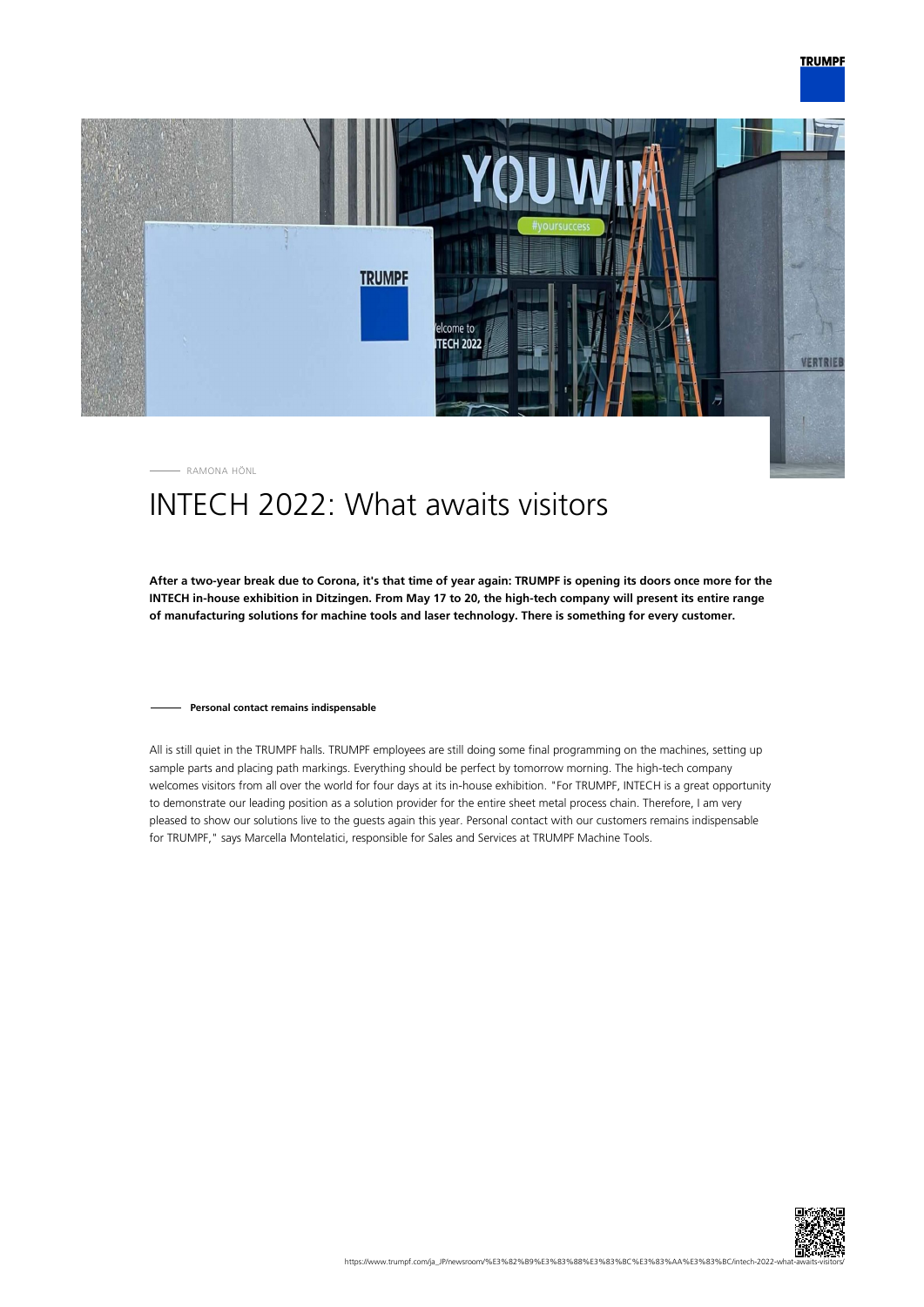



RAMONA HÖNL

# INTECH 2022: What awaits visitors

**After a two-year break due to Corona, it's that time of year again: TRUMPF is opening its doors once more for the INTECH in-house exhibition in Ditzingen. From May 17 to 20, the high-tech company will present its entire range of manufacturing solutions for machine tools and laser technology. There is something for every customer.**

### **Personal contact remains indispensable**

All is still quiet in the TRUMPF halls. TRUMPF employees are still doing some final programming on the machines, setting up sample parts and placing path markings. Everything should be perfect by tomorrow morning. The high-tech company welcomes visitors from all over the world for four days at its in-house exhibition. "For TRUMPF, INTECH is a great opportunity to demonstrate our leading position as a solution provider for the entire sheet metal process chain. Therefore, I am very pleased to show our solutions live to the guests again this year. Personal contact with our customers remains indispensable for TRUMPF," says Marcella Montelatici, responsible for Sales and Services at TRUMPF Machine Tools.

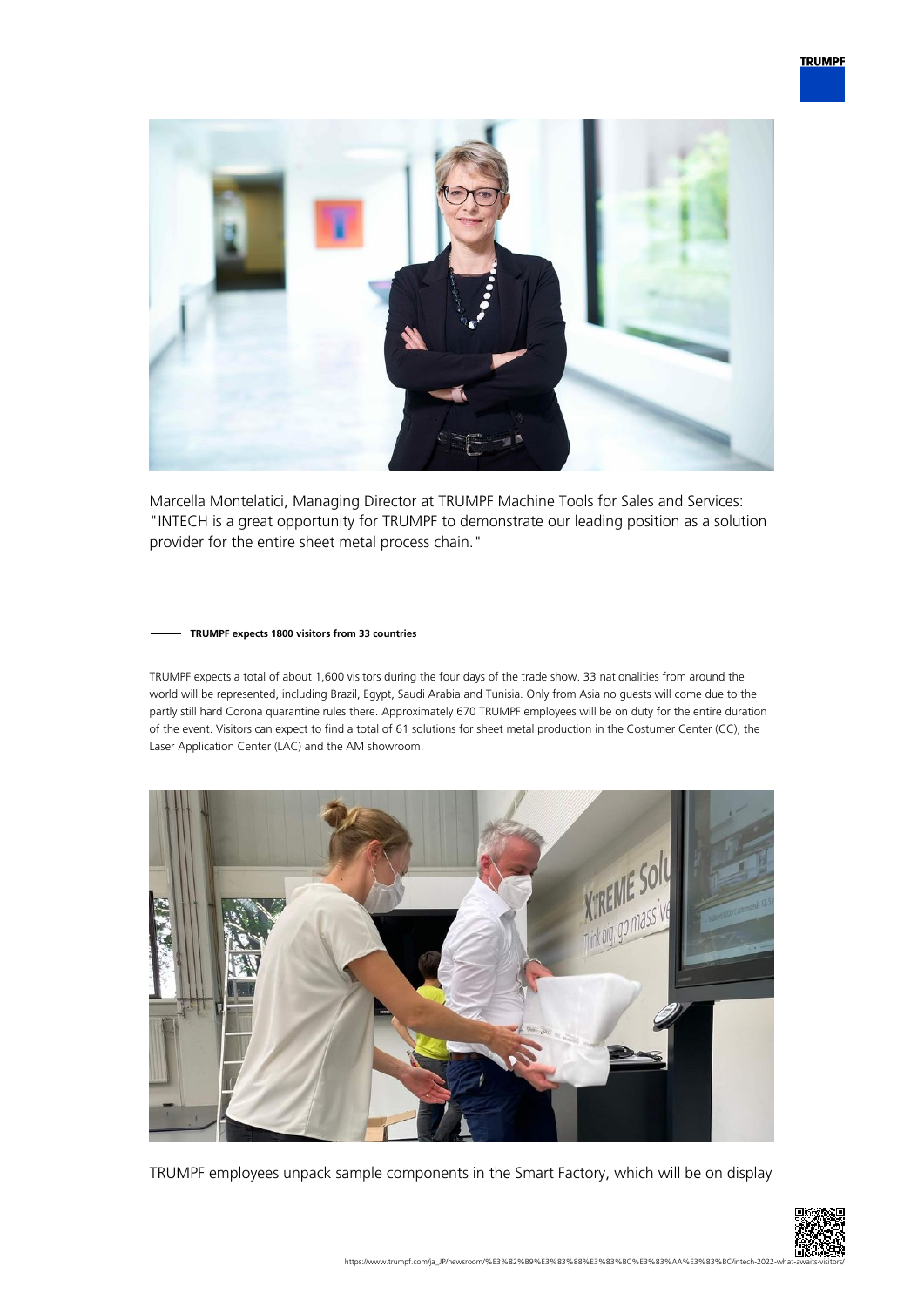

Marcella Montelatici, Managing Director at TRUMPF Machine Tools for Sales and Services: "INTECH is a great opportunity for TRUMPF to demonstrate our leading position as a solution provider for the entire sheet metal process chain."

#### **TRUMPF expects 1800 visitors from 33 countries**

TRUMPF expects a total of about 1,600 visitors during the four days of the trade show. 33 nationalities from around the world will be represented, including Brazil, Egypt, Saudi Arabia and Tunisia. Only from Asia no guests will come due to the partly still hard Corona quarantine rules there. Approximately 670 TRUMPF employees will be on duty for the entire duration of the event. Visitors can expect to find a total of 61 solutions for sheet metal production in the Costumer Center (CC), the Laser Application Center (LAC) and the AM showroom.



TRUMPF employees unpack sample components in the Smart Factory, which will be on display